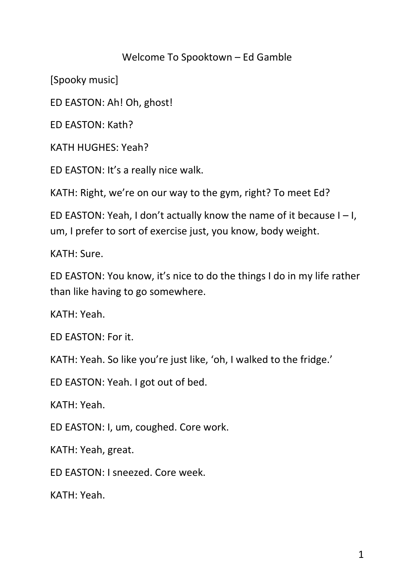## Welcome To Spooktown – Ed Gamble

[Spooky music]

ED EASTON: Ah! Oh, ghost!

ED EASTON: Kath?

KATH HUGHES: Yeah?

ED EASTON: It's a really nice walk.

KATH: Right, we're on our way to the gym, right? To meet Ed?

ED EASTON: Yeah, I don't actually know the name of it because  $I - I$ , um, I prefer to sort of exercise just, you know, body weight.

KATH: Sure.

ED EASTON: You know, it's nice to do the things I do in my life rather than like having to go somewhere.

KATH: Yeah.

ED EASTON: For it.

KATH: Yeah. So like you're just like, 'oh, I walked to the fridge.'

ED EASTON: Yeah. I got out of bed.

KATH: Yeah.

ED EASTON: I, um, coughed. Core work.

KATH: Yeah, great.

ED EASTON: I sneezed. Core week.

KATH: Yeah.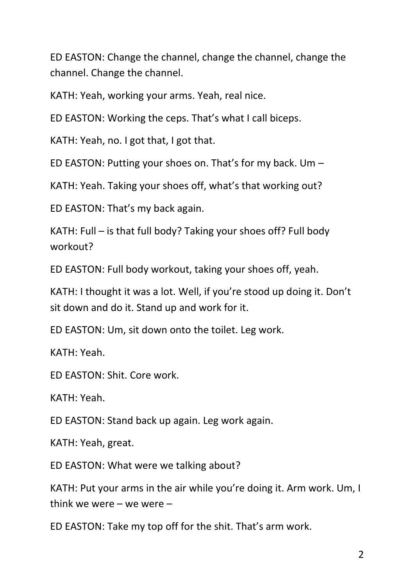ED EASTON: Change the channel, change the channel, change the channel. Change the channel.

KATH: Yeah, working your arms. Yeah, real nice.

ED EASTON: Working the ceps. That's what I call biceps.

KATH: Yeah, no. I got that, I got that.

ED EASTON: Putting your shoes on. That's for my back. Um –

KATH: Yeah. Taking your shoes off, what's that working out?

ED EASTON: That's my back again.

KATH: Full – is that full body? Taking your shoes off? Full body workout?

ED EASTON: Full body workout, taking your shoes off, yeah.

KATH: I thought it was a lot. Well, if you're stood up doing it. Don't sit down and do it. Stand up and work for it.

ED EASTON: Um, sit down onto the toilet. Leg work.

KATH: Yeah.

ED EASTON: Shit. Core work.

KATH: Yeah.

ED EASTON: Stand back up again. Leg work again.

KATH: Yeah, great.

ED EASTON: What were we talking about?

KATH: Put your arms in the air while you're doing it. Arm work. Um, I think we were – we were –

ED EASTON: Take my top off for the shit. That's arm work.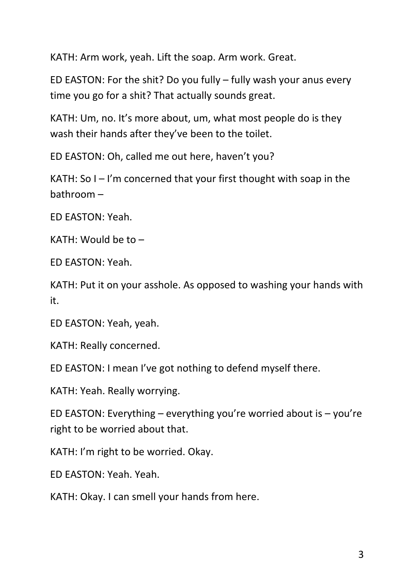KATH: Arm work, yeah. Lift the soap. Arm work. Great.

ED EASTON: For the shit? Do you fully – fully wash your anus every time you go for a shit? That actually sounds great.

KATH: Um, no. It's more about, um, what most people do is they wash their hands after they've been to the toilet.

ED EASTON: Oh, called me out here, haven't you?

KATH: So  $I - I'm$  concerned that your first thought with soap in the bathroom –

ED EASTON: Yeah.

KATH: Would be to –

ED EASTON: Yeah.

KATH: Put it on your asshole. As opposed to washing your hands with it.

ED EASTON: Yeah, yeah.

KATH: Really concerned.

ED EASTON: I mean I've got nothing to defend myself there.

KATH: Yeah. Really worrying.

ED EASTON: Everything – everything you're worried about is – you're right to be worried about that.

KATH: I'm right to be worried. Okay.

ED EASTON: Yeah. Yeah.

KATH: Okay. I can smell your hands from here.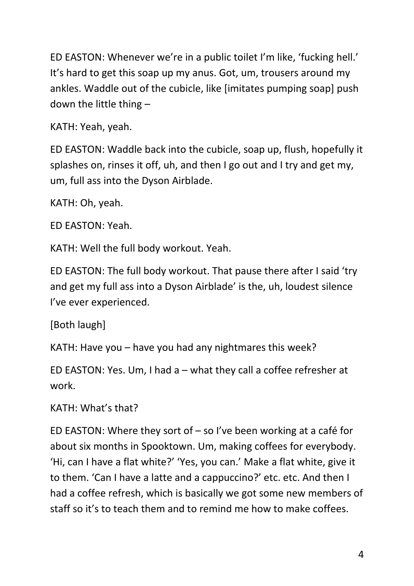ED EASTON: Whenever we're in a public toilet I'm like, 'fucking hell.' It's hard to get this soap up my anus. Got, um, trousers around my ankles. Waddle out of the cubicle, like [imitates pumping soap] push down the little thing –

KATH: Yeah, yeah.

ED EASTON: Waddle back into the cubicle, soap up, flush, hopefully it splashes on, rinses it off, uh, and then I go out and I try and get my, um, full ass into the Dyson Airblade.

KATH: Oh, yeah.

ED EASTON: Yeah.

KATH: Well the full body workout. Yeah.

ED EASTON: The full body workout. That pause there after I said 'try and get my full ass into a Dyson Airblade' is the, uh, loudest silence I've ever experienced.

[Both laugh]

KATH: Have you – have you had any nightmares this week?

ED EASTON: Yes. Um, I had a – what they call a coffee refresher at work.

KATH: What's that?

ED EASTON: Where they sort of – so I've been working at a café for about six months in Spooktown. Um, making coffees for everybody. 'Hi, can I have a flat white?' 'Yes, you can.' Make a flat white, give it to them. 'Can I have a latte and a cappuccino?' etc. etc. And then I had a coffee refresh, which is basically we got some new members of staff so it's to teach them and to remind me how to make coffees.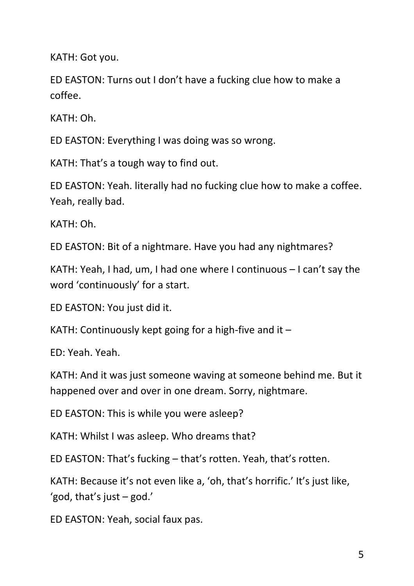KATH: Got you.

ED EASTON: Turns out I don't have a fucking clue how to make a coffee.

KATH: Oh.

ED EASTON: Everything I was doing was so wrong.

KATH: That's a tough way to find out.

ED EASTON: Yeah. literally had no fucking clue how to make a coffee. Yeah, really bad.

KATH: Oh.

ED EASTON: Bit of a nightmare. Have you had any nightmares?

KATH: Yeah, I had, um, I had one where I continuous – I can't say the word 'continuously' for a start.

ED EASTON: You just did it.

KATH: Continuously kept going for a high-five and it  $-$ 

ED: Yeah. Yeah.

KATH: And it was just someone waving at someone behind me. But it happened over and over in one dream. Sorry, nightmare.

ED EASTON: This is while you were asleep?

KATH: Whilst I was asleep. Who dreams that?

ED EASTON: That's fucking – that's rotten. Yeah, that's rotten.

KATH: Because it's not even like a, 'oh, that's horrific.' It's just like, 'god, that's just  $-$  god.'

ED EASTON: Yeah, social faux pas.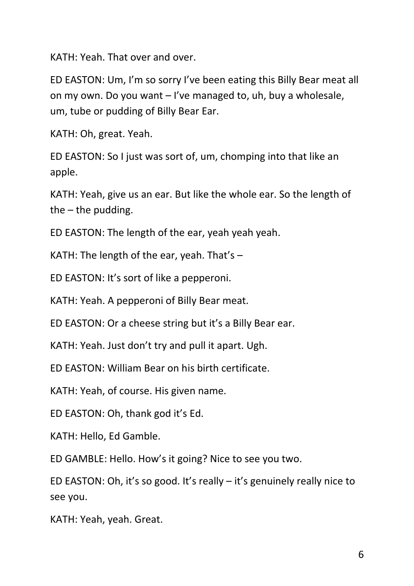KATH: Yeah. That over and over.

ED EASTON: Um, I'm so sorry I've been eating this Billy Bear meat all on my own. Do you want – I've managed to, uh, buy a wholesale, um, tube or pudding of Billy Bear Ear.

KATH: Oh, great. Yeah.

ED EASTON: So I just was sort of, um, chomping into that like an apple.

KATH: Yeah, give us an ear. But like the whole ear. So the length of the  $-$  the pudding.

ED EASTON: The length of the ear, yeah yeah yeah.

KATH: The length of the ear, yeah. That's  $-$ 

ED EASTON: It's sort of like a pepperoni.

KATH: Yeah. A pepperoni of Billy Bear meat.

ED EASTON: Or a cheese string but it's a Billy Bear ear.

KATH: Yeah. Just don't try and pull it apart. Ugh.

ED EASTON: William Bear on his birth certificate.

KATH: Yeah, of course. His given name.

ED EASTON: Oh, thank god it's Ed.

KATH: Hello, Ed Gamble.

ED GAMBLE: Hello. How's it going? Nice to see you two.

ED EASTON: Oh, it's so good. It's really – it's genuinely really nice to see you.

KATH: Yeah, yeah. Great.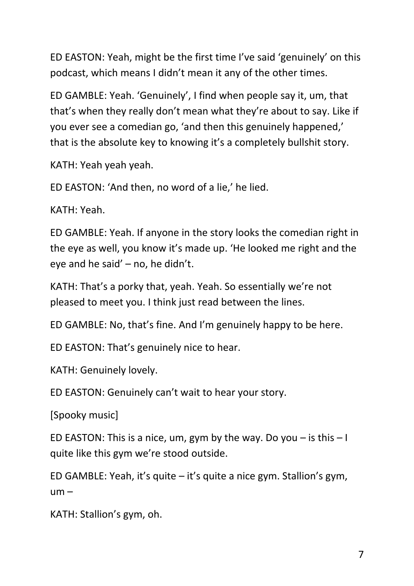ED EASTON: Yeah, might be the first time I've said 'genuinely' on this podcast, which means I didn't mean it any of the other times.

ED GAMBLE: Yeah. 'Genuinely', I find when people say it, um, that that's when they really don't mean what they're about to say. Like if you ever see a comedian go, 'and then this genuinely happened,' that is the absolute key to knowing it's a completely bullshit story.

KATH: Yeah yeah yeah.

ED EASTON: 'And then, no word of a lie,' he lied.

KATH: Yeah.

ED GAMBLE: Yeah. If anyone in the story looks the comedian right in the eye as well, you know it's made up. 'He looked me right and the eye and he said' – no, he didn't.

KATH: That's a porky that, yeah. Yeah. So essentially we're not pleased to meet you. I think just read between the lines.

ED GAMBLE: No, that's fine. And I'm genuinely happy to be here.

ED EASTON: That's genuinely nice to hear.

KATH: Genuinely lovely.

ED EASTON: Genuinely can't wait to hear your story.

[Spooky music]

ED EASTON: This is a nice, um, gym by the way. Do you  $-$  is this  $-1$ quite like this gym we're stood outside.

ED GAMBLE: Yeah, it's quite – it's quite a nice gym. Stallion's gym,  $um -$ 

KATH: Stallion's gym, oh.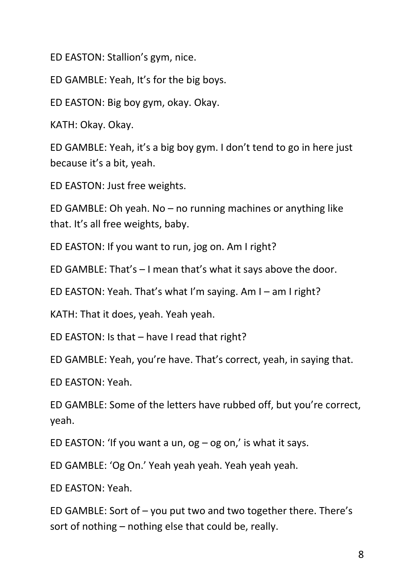ED EASTON: Stallion's gym, nice.

ED GAMBLE: Yeah, It's for the big boys.

ED EASTON: Big boy gym, okay. Okay.

KATH: Okay. Okay.

ED GAMBLE: Yeah, it's a big boy gym. I don't tend to go in here just because it's a bit, yeah.

ED EASTON: Just free weights.

ED GAMBLE: Oh yeah. No – no running machines or anything like that. It's all free weights, baby.

ED EASTON: If you want to run, jog on. Am I right?

ED GAMBLE: That's – I mean that's what it says above the door.

ED EASTON: Yeah. That's what I'm saying. Am I – am I right?

KATH: That it does, yeah. Yeah yeah.

ED EASTON: Is that – have I read that right?

ED GAMBLE: Yeah, you're have. That's correct, yeah, in saying that.

ED EASTON: Yeah.

ED GAMBLE: Some of the letters have rubbed off, but you're correct, yeah.

ED EASTON: 'If you want a un,  $og - og$  on,' is what it says.

ED GAMBLE: 'Og On.' Yeah yeah yeah. Yeah yeah yeah.

ED EASTON: Yeah.

ED GAMBLE: Sort of – you put two and two together there. There's sort of nothing – nothing else that could be, really.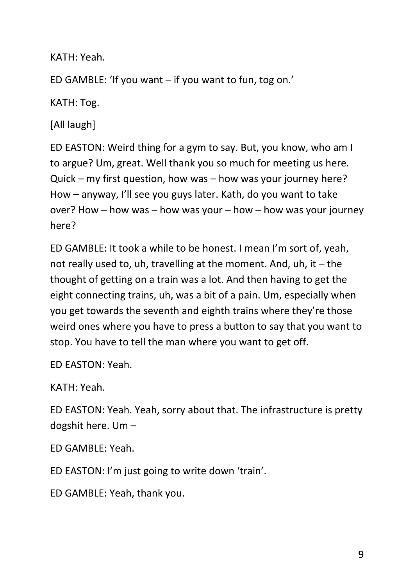KATH: Yeah.

ED GAMBLE: 'If you want – if you want to fun, tog on.'

KATH: Tog.

[All laugh]

ED EASTON: Weird thing for a gym to say. But, you know, who am I to argue? Um, great. Well thank you so much for meeting us here. Quick – my first question, how was – how was your journey here? How – anyway, I'll see you guys later. Kath, do you want to take over? How – how was – how was your – how – how was your journey here?

ED GAMBLE: It took a while to be honest. I mean I'm sort of, yeah, not really used to, uh, travelling at the moment. And, uh, it  $-$  the thought of getting on a train was a lot. And then having to get the eight connecting trains, uh, was a bit of a pain. Um, especially when you get towards the seventh and eighth trains where they're those weird ones where you have to press a button to say that you want to stop. You have to tell the man where you want to get off.

ED EASTON: Yeah.

KATH: Yeah.

ED EASTON: Yeah. Yeah, sorry about that. The infrastructure is pretty dogshit here. Um –

ED GAMBLE: Yeah.

ED EASTON: I'm just going to write down 'train'.

ED GAMBLE: Yeah, thank you.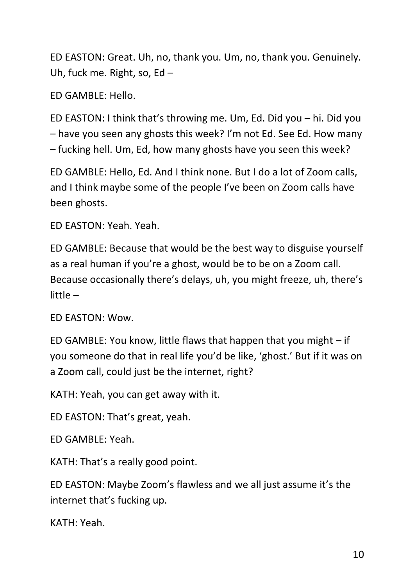ED EASTON: Great. Uh, no, thank you. Um, no, thank you. Genuinely. Uh, fuck me. Right, so, Ed –

ED GAMBLE: Hello.

ED EASTON: I think that's throwing me. Um, Ed. Did you – hi. Did you – have you seen any ghosts this week? I'm not Ed. See Ed. How many – fucking hell. Um, Ed, how many ghosts have you seen this week?

ED GAMBLE: Hello, Ed. And I think none. But I do a lot of Zoom calls, and I think maybe some of the people I've been on Zoom calls have been ghosts.

ED EASTON: Yeah. Yeah.

ED GAMBLE: Because that would be the best way to disguise yourself as a real human if you're a ghost, would be to be on a Zoom call. Because occasionally there's delays, uh, you might freeze, uh, there's little –

ED EASTON: Wow.

ED GAMBLE: You know, little flaws that happen that you might – if you someone do that in real life you'd be like, 'ghost.' But if it was on a Zoom call, could just be the internet, right?

KATH: Yeah, you can get away with it.

ED EASTON: That's great, yeah.

ED GAMBLE: Yeah.

KATH: That's a really good point.

ED EASTON: Maybe Zoom's flawless and we all just assume it's the internet that's fucking up.

KATH: Yeah.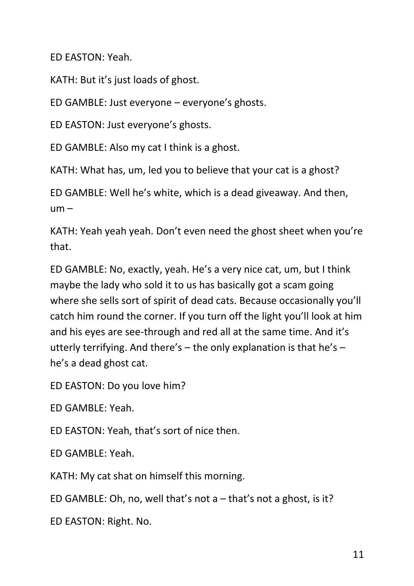ED EASTON: Yeah.

KATH: But it's just loads of ghost.

ED GAMBLE: Just everyone – everyone's ghosts.

ED EASTON: Just everyone's ghosts.

ED GAMBLE: Also my cat I think is a ghost.

KATH: What has, um, led you to believe that your cat is a ghost?

ED GAMBLE: Well he's white, which is a dead giveaway. And then,  $um -$ 

KATH: Yeah yeah yeah. Don't even need the ghost sheet when you're that.

ED GAMBLE: No, exactly, yeah. He's a very nice cat, um, but I think maybe the lady who sold it to us has basically got a scam going where she sells sort of spirit of dead cats. Because occasionally you'll catch him round the corner. If you turn off the light you'll look at him and his eyes are see-through and red all at the same time. And it's utterly terrifying. And there's – the only explanation is that he's – he's a dead ghost cat.

ED EASTON: Do you love him?

ED GAMBLE: Yeah.

ED EASTON: Yeah, that's sort of nice then.

ED GAMBLE: Yeah.

KATH: My cat shat on himself this morning.

ED GAMBLE: Oh, no, well that's not a – that's not a ghost, is it?

ED EASTON: Right. No.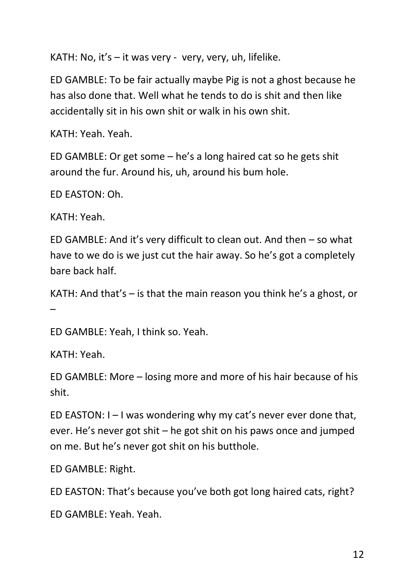KATH: No, it's  $-$  it was very - very, very, uh, lifelike.

ED GAMBLE: To be fair actually maybe Pig is not a ghost because he has also done that. Well what he tends to do is shit and then like accidentally sit in his own shit or walk in his own shit.

KATH: Yeah. Yeah.

ED GAMBLE: Or get some – he's a long haired cat so he gets shit around the fur. Around his, uh, around his bum hole.

ED EASTON: Oh.

KATH: Yeah.

ED GAMBLE: And it's very difficult to clean out. And then – so what have to we do is we just cut the hair away. So he's got a completely bare back half.

KATH: And that's – is that the main reason you think he's a ghost, or –

ED GAMBLE: Yeah, I think so. Yeah.

KATH: Yeah.

ED GAMBLE: More – losing more and more of his hair because of his shit.

ED EASTON:  $I - I$  was wondering why my cat's never ever done that, ever. He's never got shit – he got shit on his paws once and jumped on me. But he's never got shit on his butthole.

ED GAMBLE: Right.

ED EASTON: That's because you've both got long haired cats, right?

ED GAMBLE: Yeah. Yeah.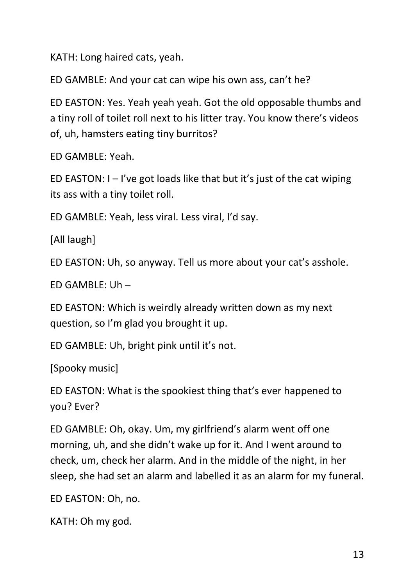KATH: Long haired cats, yeah.

ED GAMBLE: And your cat can wipe his own ass, can't he?

ED EASTON: Yes. Yeah yeah yeah. Got the old opposable thumbs and a tiny roll of toilet roll next to his litter tray. You know there's videos of, uh, hamsters eating tiny burritos?

ED GAMBLE: Yeah.

ED EASTON:  $I - I'$ ve got loads like that but it's just of the cat wiping its ass with a tiny toilet roll.

ED GAMBLE: Yeah, less viral. Less viral, I'd say.

[All laugh]

ED EASTON: Uh, so anyway. Tell us more about your cat's asshole.

ED GAMBLE: Uh –

ED EASTON: Which is weirdly already written down as my next question, so I'm glad you brought it up.

ED GAMBLE: Uh, bright pink until it's not.

[Spooky music]

ED EASTON: What is the spookiest thing that's ever happened to you? Ever?

ED GAMBLE: Oh, okay. Um, my girlfriend's alarm went off one morning, uh, and she didn't wake up for it. And I went around to check, um, check her alarm. And in the middle of the night, in her sleep, she had set an alarm and labelled it as an alarm for my funeral.

ED EASTON: Oh, no.

KATH: Oh my god.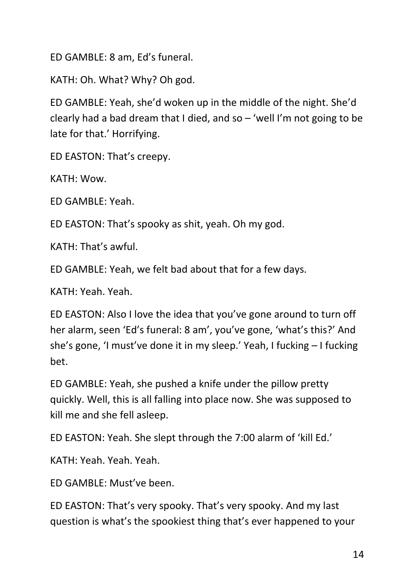ED GAMBLE: 8 am, Ed's funeral.

KATH: Oh. What? Why? Oh god.

ED GAMBLE: Yeah, she'd woken up in the middle of the night. She'd clearly had a bad dream that I died, and so – 'well I'm not going to be late for that.' Horrifying.

ED EASTON: That's creepy.

KATH: Wow.

ED GAMBLE: Yeah.

ED EASTON: That's spooky as shit, yeah. Oh my god.

KATH: That's awful.

ED GAMBLE: Yeah, we felt bad about that for a few days.

KATH: Yeah. Yeah.

ED EASTON: Also I love the idea that you've gone around to turn off her alarm, seen 'Ed's funeral: 8 am', you've gone, 'what's this?' And she's gone, 'I must've done it in my sleep.' Yeah, I fucking – I fucking bet.

ED GAMBLE: Yeah, she pushed a knife under the pillow pretty quickly. Well, this is all falling into place now. She was supposed to kill me and she fell asleep.

ED EASTON: Yeah. She slept through the 7:00 alarm of 'kill Ed.'

KATH: Yeah. Yeah. Yeah.

ED GAMBLE: Must've been.

ED EASTON: That's very spooky. That's very spooky. And my last question is what's the spookiest thing that's ever happened to your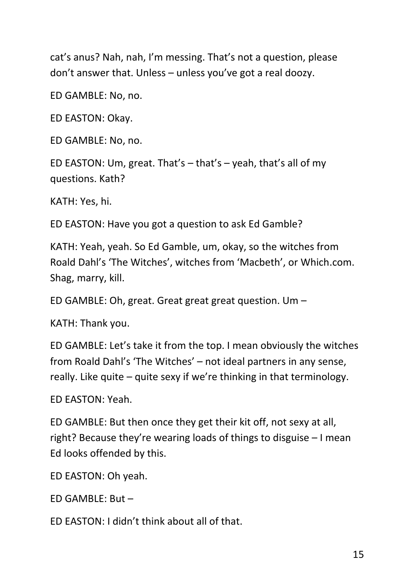cat's anus? Nah, nah, I'm messing. That's not a question, please don't answer that. Unless – unless you've got a real doozy.

ED GAMBLE: No, no.

ED EASTON: Okay.

ED GAMBLE: No, no.

ED EASTON: Um, great. That's – that's – yeah, that's all of my questions. Kath?

KATH: Yes, hi.

ED EASTON: Have you got a question to ask Ed Gamble?

KATH: Yeah, yeah. So Ed Gamble, um, okay, so the witches from Roald Dahl's 'The Witches', witches from 'Macbeth', or Which.com. Shag, marry, kill.

ED GAMBLE: Oh, great. Great great great question. Um –

KATH: Thank you.

ED GAMBLE: Let's take it from the top. I mean obviously the witches from Roald Dahl's 'The Witches' – not ideal partners in any sense, really. Like quite – quite sexy if we're thinking in that terminology.

ED EASTON: Yeah.

ED GAMBLE: But then once they get their kit off, not sexy at all, right? Because they're wearing loads of things to disguise – I mean Ed looks offended by this.

ED EASTON: Oh yeah.

ED GAMBLE: But –

ED EASTON: I didn't think about all of that.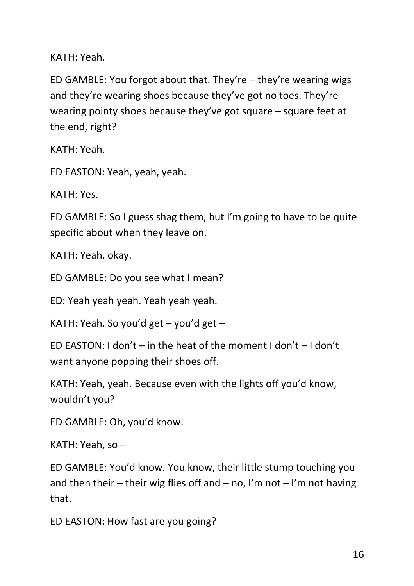KATH: Yeah.

ED GAMBLE: You forgot about that. They're – they're wearing wigs and they're wearing shoes because they've got no toes. They're wearing pointy shoes because they've got square – square feet at the end, right?

KATH: Yeah.

ED EASTON: Yeah, yeah, yeah.

KATH: Yes.

ED GAMBLE: So I guess shag them, but I'm going to have to be quite specific about when they leave on.

KATH: Yeah, okay.

ED GAMBLE: Do you see what I mean?

ED: Yeah yeah yeah. Yeah yeah yeah.

KATH: Yeah. So you'd get – you'd get –

ED EASTON: I don't – in the heat of the moment I don't – I don't want anyone popping their shoes off.

KATH: Yeah, yeah. Because even with the lights off you'd know, wouldn't you?

ED GAMBLE: Oh, you'd know.

KATH: Yeah, so –

ED GAMBLE: You'd know. You know, their little stump touching you and then their – their wig flies off and – no, I'm not – I'm not having that.

ED EASTON: How fast are you going?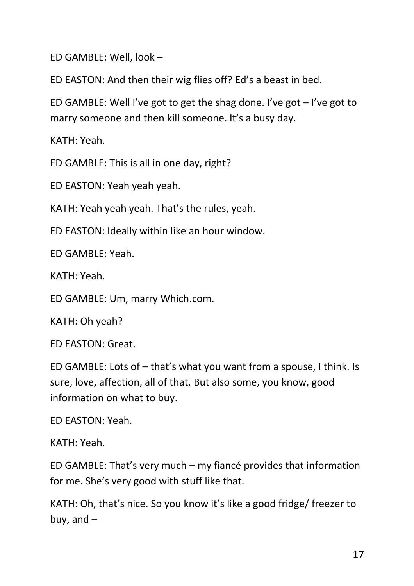ED GAMBLE: Well, look –

ED EASTON: And then their wig flies off? Ed's a beast in bed.

ED GAMBLE: Well I've got to get the shag done. I've got  $-$  I've got to marry someone and then kill someone. It's a busy day.

KATH: Yeah.

ED GAMBLE: This is all in one day, right?

ED EASTON: Yeah yeah yeah.

KATH: Yeah yeah yeah. That's the rules, yeah.

ED EASTON: Ideally within like an hour window.

ED GAMBLE: Yeah.

KATH: Yeah.

ED GAMBLE: Um, marry Which.com.

KATH: Oh yeah?

ED EASTON: Great.

ED GAMBLE: Lots of – that's what you want from a spouse, I think. Is sure, love, affection, all of that. But also some, you know, good information on what to buy.

ED EASTON: Yeah.

KATH: Yeah.

ED GAMBLE: That's very much – my fiancé provides that information for me. She's very good with stuff like that.

KATH: Oh, that's nice. So you know it's like a good fridge/ freezer to buy, and  $-$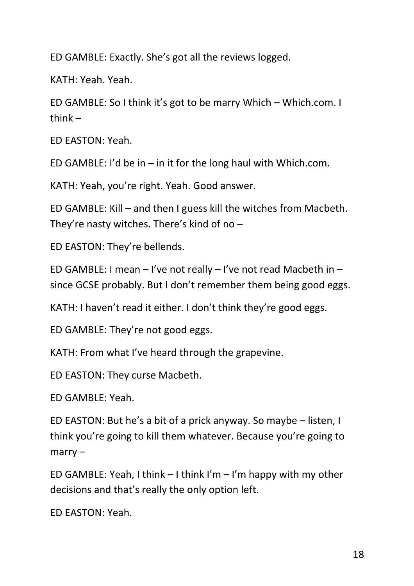ED GAMBLE: Exactly. She's got all the reviews logged.

KATH: Yeah. Yeah.

ED GAMBLE: So I think it's got to be marry Which – Which.com. I thin $k -$ 

ED EASTON: Yeah.

ED GAMBLE: I'd be in  $-$  in it for the long haul with Which.com.

KATH: Yeah, you're right. Yeah. Good answer.

ED GAMBLE: Kill – and then I guess kill the witches from Macbeth. They're nasty witches. There's kind of no –

ED EASTON: They're bellends.

ED GAMBLE: I mean – I've not really – I've not read Macbeth in – since GCSE probably. But I don't remember them being good eggs.

KATH: I haven't read it either. I don't think they're good eggs.

ED GAMBLE: They're not good eggs.

KATH: From what I've heard through the grapevine.

ED EASTON: They curse Macbeth.

ED GAMBLE: Yeah.

ED EASTON: But he's a bit of a prick anyway. So maybe – listen, I think you're going to kill them whatever. Because you're going to marry –

ED GAMBLE: Yeah, I think  $-1$  think I'm  $-1$ 'm happy with my other decisions and that's really the only option left.

ED EASTON: Yeah.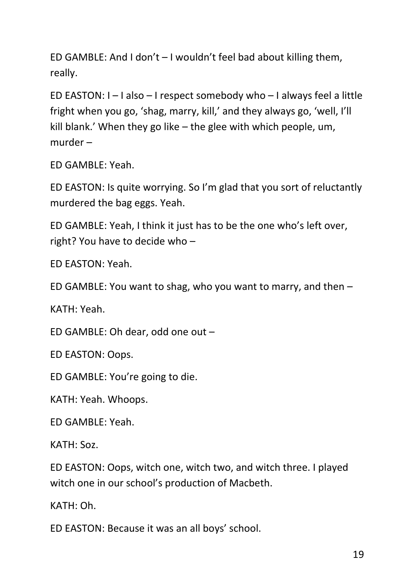ED GAMBLE: And I don't – I wouldn't feel bad about killing them, really.

ED EASTON: I – I also – I respect somebody who – I always feel a little fright when you go, 'shag, marry, kill,' and they always go, 'well, I'll kill blank.' When they go like – the glee with which people, um, murder –

ED GAMBLE: Yeah.

ED EASTON: Is quite worrying. So I'm glad that you sort of reluctantly murdered the bag eggs. Yeah.

ED GAMBLE: Yeah, I think it just has to be the one who's left over, right? You have to decide who –

ED EASTON: Yeah.

ED GAMBLE: You want to shag, who you want to marry, and then –

KATH: Yeah.

ED GAMBLE: Oh dear, odd one out –

ED EASTON: Oops.

ED GAMBLE: You're going to die.

KATH: Yeah. Whoops.

ED GAMBLE: Yeah.

KATH: Soz.

ED EASTON: Oops, witch one, witch two, and witch three. I played witch one in our school's production of Macbeth.

KATH: Oh.

ED EASTON: Because it was an all boys' school.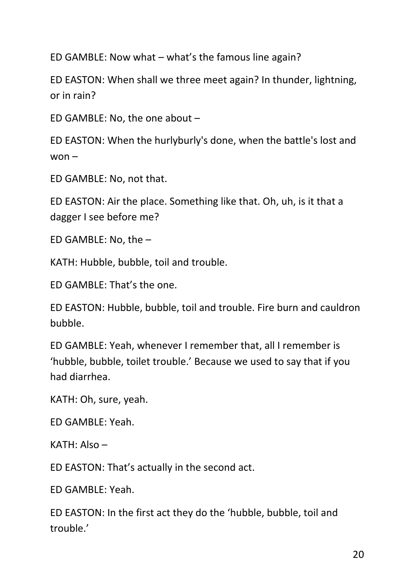ED GAMBLE: Now what – what's the famous line again?

ED EASTON: When shall we three meet again? In thunder, lightning, or in rain?

ED GAMBLE: No, the one about –

ED EASTON: When the hurlyburly's done, when the battle's lost and  $won -$ 

ED GAMBLE: No, not that.

ED EASTON: Air the place. Something like that. Oh, uh, is it that a dagger I see before me?

ED GAMBLE: No, the –

KATH: Hubble, bubble, toil and trouble.

ED GAMBLE: That's the one.

ED EASTON: Hubble, bubble, toil and trouble. Fire burn and cauldron bubble.

ED GAMBLE: Yeah, whenever I remember that, all I remember is 'hubble, bubble, toilet trouble.' Because we used to say that if you had diarrhea.

KATH: Oh, sure, yeah.

ED GAMBLE: Yeah.

KATH: Also –

ED EASTON: That's actually in the second act.

ED GAMBLE: Yeah.

ED EASTON: In the first act they do the 'hubble, bubble, toil and trouble.'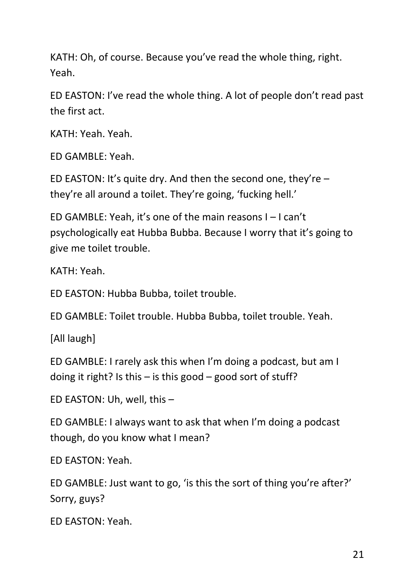KATH: Oh, of course. Because you've read the whole thing, right. Yeah.

ED EASTON: I've read the whole thing. A lot of people don't read past the first act.

KATH: Yeah. Yeah.

ED GAMBLE: Yeah.

ED EASTON: It's quite dry. And then the second one, they're  $$ they're all around a toilet. They're going, 'fucking hell.'

ED GAMBLE: Yeah, it's one of the main reasons I – I can't psychologically eat Hubba Bubba. Because I worry that it's going to give me toilet trouble.

KATH: Yeah.

ED EASTON: Hubba Bubba, toilet trouble.

ED GAMBLE: Toilet trouble. Hubba Bubba, toilet trouble. Yeah.

[All laugh]

ED GAMBLE: I rarely ask this when I'm doing a podcast, but am I doing it right? Is this  $-$  is this good  $-$  good sort of stuff?

ED EASTON: Uh, well, this –

ED GAMBLE: I always want to ask that when I'm doing a podcast though, do you know what I mean?

ED EASTON: Yeah.

ED GAMBLE: Just want to go, 'is this the sort of thing you're after?' Sorry, guys?

ED EASTON: Yeah.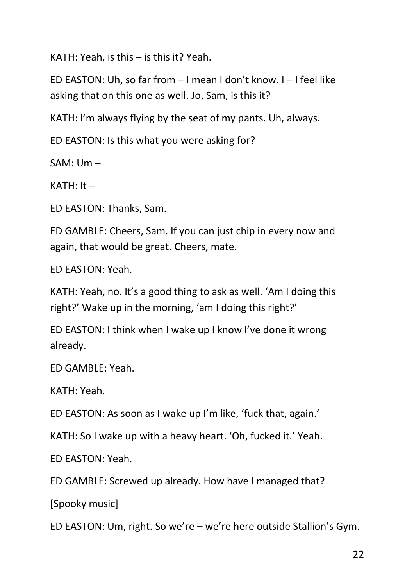KATH: Yeah, is this – is this it? Yeah.

ED EASTON: Uh, so far from – I mean I don't know. I – I feel like asking that on this one as well. Jo, Sam, is this it?

KATH: I'm always flying by the seat of my pants. Uh, always.

ED EASTON: Is this what you were asking for?

SAM: Um –

 $KATH: It -$ 

ED EASTON: Thanks, Sam.

ED GAMBLE: Cheers, Sam. If you can just chip in every now and again, that would be great. Cheers, mate.

ED EASTON: Yeah.

KATH: Yeah, no. It's a good thing to ask as well. 'Am I doing this right?' Wake up in the morning, 'am I doing this right?'

ED EASTON: I think when I wake up I know I've done it wrong already.

ED GAMBLE: Yeah.

KATH: Yeah.

ED EASTON: As soon as I wake up I'm like, 'fuck that, again.'

KATH: So I wake up with a heavy heart. 'Oh, fucked it.' Yeah.

ED EASTON: Yeah.

ED GAMBLE: Screwed up already. How have I managed that?

[Spooky music]

ED EASTON: Um, right. So we're – we're here outside Stallion's Gym.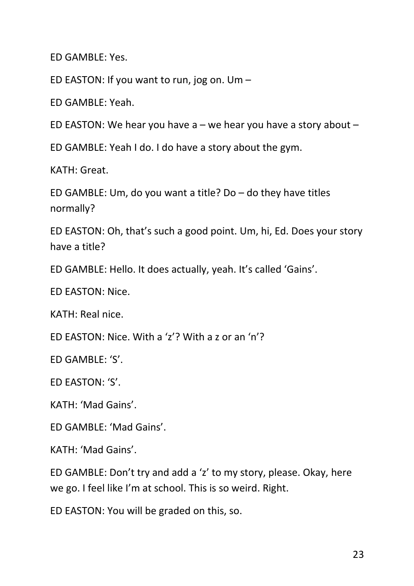ED GAMBLE: Yes.

ED EASTON: If you want to run, jog on. Um –

ED GAMBLE: Yeah.

ED EASTON: We hear you have  $a$  – we hear you have a story about –

ED GAMBLE: Yeah I do. I do have a story about the gym.

KATH: Great.

ED GAMBLE: Um, do you want a title? Do – do they have titles normally?

ED EASTON: Oh, that's such a good point. Um, hi, Ed. Does your story have a title?

ED GAMBLE: Hello. It does actually, yeah. It's called 'Gains'.

ED EASTON: Nice.

KATH: Real nice.

ED EASTON: Nice. With a 'z'? With a z or an 'n'?

ED GAMBLE: 'S'.

ED EASTON: 'S'.

KATH: 'Mad Gains'.

ED GAMBLE: 'Mad Gains'.

KATH: 'Mad Gains'.

ED GAMBLE: Don't try and add a 'z' to my story, please. Okay, here we go. I feel like I'm at school. This is so weird. Right.

ED EASTON: You will be graded on this, so.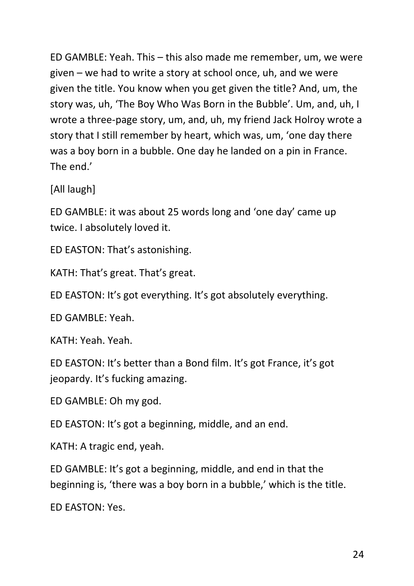ED GAMBLE: Yeah. This – this also made me remember, um, we were given – we had to write a story at school once, uh, and we were given the title. You know when you get given the title? And, um, the story was, uh, 'The Boy Who Was Born in the Bubble'. Um, and, uh, I wrote a three-page story, um, and, uh, my friend Jack Holroy wrote a story that I still remember by heart, which was, um, 'one day there was a boy born in a bubble. One day he landed on a pin in France. The end.'

[All laugh]

ED GAMBLE: it was about 25 words long and 'one day' came up twice. I absolutely loved it.

ED EASTON: That's astonishing.

KATH: That's great. That's great.

ED EASTON: It's got everything. It's got absolutely everything.

ED GAMBLE: Yeah.

KATH: Yeah. Yeah.

ED EASTON: It's better than a Bond film. It's got France, it's got jeopardy. It's fucking amazing.

ED GAMBLE: Oh my god.

ED EASTON: It's got a beginning, middle, and an end.

KATH: A tragic end, yeah.

ED GAMBLE: It's got a beginning, middle, and end in that the beginning is, 'there was a boy born in a bubble,' which is the title.

ED EASTON: Yes.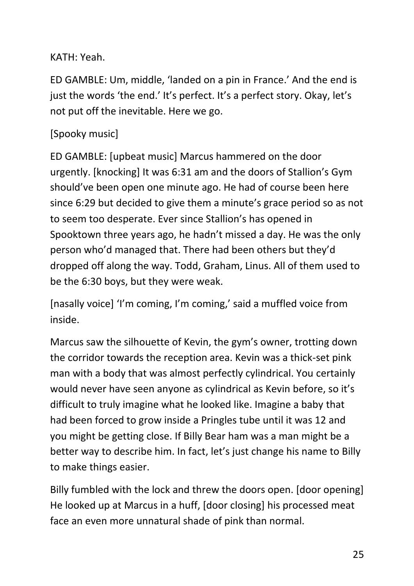## KATH: Yeah.

ED GAMBLE: Um, middle, 'landed on a pin in France.' And the end is just the words 'the end.' It's perfect. It's a perfect story. Okay, let's not put off the inevitable. Here we go.

# [Spooky music]

ED GAMBLE: [upbeat music] Marcus hammered on the door urgently. [knocking] It was 6:31 am and the doors of Stallion's Gym should've been open one minute ago. He had of course been here since 6:29 but decided to give them a minute's grace period so as not to seem too desperate. Ever since Stallion's has opened in Spooktown three years ago, he hadn't missed a day. He was the only person who'd managed that. There had been others but they'd dropped off along the way. Todd, Graham, Linus. All of them used to be the 6:30 boys, but they were weak.

[nasally voice] 'I'm coming, I'm coming,' said a muffled voice from inside.

Marcus saw the silhouette of Kevin, the gym's owner, trotting down the corridor towards the reception area. Kevin was a thick-set pink man with a body that was almost perfectly cylindrical. You certainly would never have seen anyone as cylindrical as Kevin before, so it's difficult to truly imagine what he looked like. Imagine a baby that had been forced to grow inside a Pringles tube until it was 12 and you might be getting close. If Billy Bear ham was a man might be a better way to describe him. In fact, let's just change his name to Billy to make things easier.

Billy fumbled with the lock and threw the doors open. [door opening] He looked up at Marcus in a huff, [door closing] his processed meat face an even more unnatural shade of pink than normal.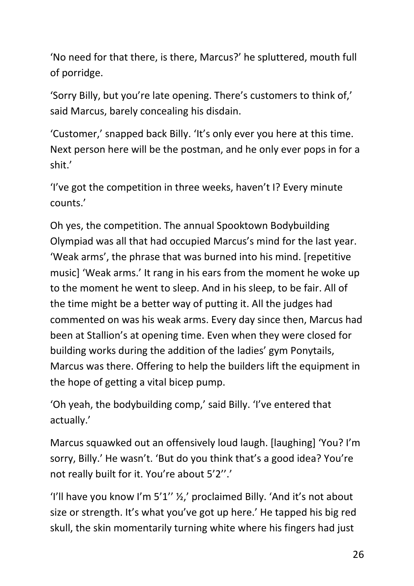'No need for that there, is there, Marcus?' he spluttered, mouth full of porridge.

'Sorry Billy, but you're late opening. There's customers to think of,' said Marcus, barely concealing his disdain.

'Customer,' snapped back Billy. 'It's only ever you here at this time. Next person here will be the postman, and he only ever pops in for a shit.'

'I've got the competition in three weeks, haven't I? Every minute counts.'

Oh yes, the competition. The annual Spooktown Bodybuilding Olympiad was all that had occupied Marcus's mind for the last year. 'Weak arms', the phrase that was burned into his mind. [repetitive music] 'Weak arms.' It rang in his ears from the moment he woke up to the moment he went to sleep. And in his sleep, to be fair. All of the time might be a better way of putting it. All the judges had commented on was his weak arms. Every day since then, Marcus had been at Stallion's at opening time. Even when they were closed for building works during the addition of the ladies' gym Ponytails, Marcus was there. Offering to help the builders lift the equipment in the hope of getting a vital bicep pump.

'Oh yeah, the bodybuilding comp,' said Billy. 'I've entered that actually.'

Marcus squawked out an offensively loud laugh. [laughing] 'You? I'm sorry, Billy.' He wasn't. 'But do you think that's a good idea? You're not really built for it. You're about 5'2''.'

'I'll have you know I'm 5'1'' ½,' proclaimed Billy. 'And it's not about size or strength. It's what you've got up here.' He tapped his big red skull, the skin momentarily turning white where his fingers had just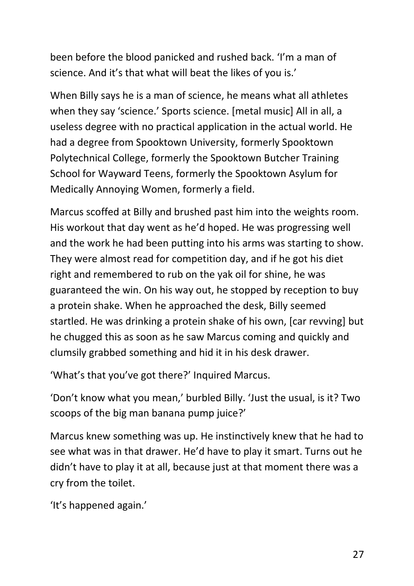been before the blood panicked and rushed back. 'I'm a man of science. And it's that what will beat the likes of you is.'

When Billy says he is a man of science, he means what all athletes when they say 'science.' Sports science. [metal music] All in all, a useless degree with no practical application in the actual world. He had a degree from Spooktown University, formerly Spooktown Polytechnical College, formerly the Spooktown Butcher Training School for Wayward Teens, formerly the Spooktown Asylum for Medically Annoying Women, formerly a field.

Marcus scoffed at Billy and brushed past him into the weights room. His workout that day went as he'd hoped. He was progressing well and the work he had been putting into his arms was starting to show. They were almost read for competition day, and if he got his diet right and remembered to rub on the yak oil for shine, he was guaranteed the win. On his way out, he stopped by reception to buy a protein shake. When he approached the desk, Billy seemed startled. He was drinking a protein shake of his own, [car revving] but he chugged this as soon as he saw Marcus coming and quickly and clumsily grabbed something and hid it in his desk drawer.

'What's that you've got there?' Inquired Marcus.

'Don't know what you mean,' burbled Billy. 'Just the usual, is it? Two scoops of the big man banana pump juice?'

Marcus knew something was up. He instinctively knew that he had to see what was in that drawer. He'd have to play it smart. Turns out he didn't have to play it at all, because just at that moment there was a cry from the toilet.

'It's happened again.'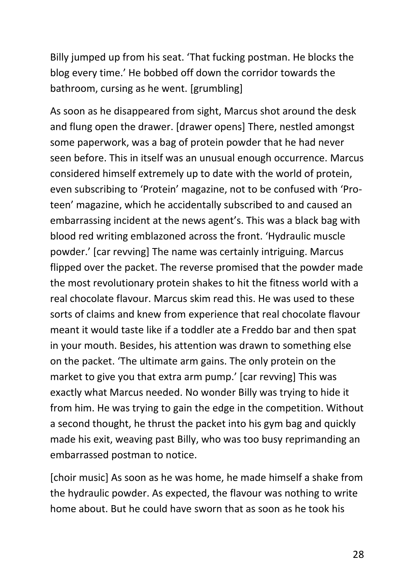Billy jumped up from his seat. 'That fucking postman. He blocks the blog every time.' He bobbed off down the corridor towards the bathroom, cursing as he went. [grumbling]

As soon as he disappeared from sight, Marcus shot around the desk and flung open the drawer. [drawer opens] There, nestled amongst some paperwork, was a bag of protein powder that he had never seen before. This in itself was an unusual enough occurrence. Marcus considered himself extremely up to date with the world of protein, even subscribing to 'Protein' magazine, not to be confused with 'Proteen' magazine, which he accidentally subscribed to and caused an embarrassing incident at the news agent's. This was a black bag with blood red writing emblazoned across the front. 'Hydraulic muscle powder.' [car revving] The name was certainly intriguing. Marcus flipped over the packet. The reverse promised that the powder made the most revolutionary protein shakes to hit the fitness world with a real chocolate flavour. Marcus skim read this. He was used to these sorts of claims and knew from experience that real chocolate flavour meant it would taste like if a toddler ate a Freddo bar and then spat in your mouth. Besides, his attention was drawn to something else on the packet. 'The ultimate arm gains. The only protein on the market to give you that extra arm pump.' [car revving] This was exactly what Marcus needed. No wonder Billy was trying to hide it from him. He was trying to gain the edge in the competition. Without a second thought, he thrust the packet into his gym bag and quickly made his exit, weaving past Billy, who was too busy reprimanding an embarrassed postman to notice.

[choir music] As soon as he was home, he made himself a shake from the hydraulic powder. As expected, the flavour was nothing to write home about. But he could have sworn that as soon as he took his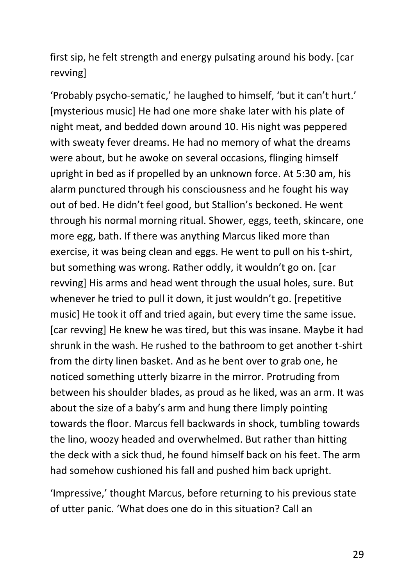first sip, he felt strength and energy pulsating around his body. [car revving]

'Probably psycho-sematic,' he laughed to himself, 'but it can't hurt.' [mysterious music] He had one more shake later with his plate of night meat, and bedded down around 10. His night was peppered with sweaty fever dreams. He had no memory of what the dreams were about, but he awoke on several occasions, flinging himself upright in bed as if propelled by an unknown force. At 5:30 am, his alarm punctured through his consciousness and he fought his way out of bed. He didn't feel good, but Stallion's beckoned. He went through his normal morning ritual. Shower, eggs, teeth, skincare, one more egg, bath. If there was anything Marcus liked more than exercise, it was being clean and eggs. He went to pull on his t-shirt, but something was wrong. Rather oddly, it wouldn't go on. [car revving] His arms and head went through the usual holes, sure. But whenever he tried to pull it down, it just wouldn't go. [repetitive music] He took it off and tried again, but every time the same issue. [car revving] He knew he was tired, but this was insane. Maybe it had shrunk in the wash. He rushed to the bathroom to get another t-shirt from the dirty linen basket. And as he bent over to grab one, he noticed something utterly bizarre in the mirror. Protruding from between his shoulder blades, as proud as he liked, was an arm. It was about the size of a baby's arm and hung there limply pointing towards the floor. Marcus fell backwards in shock, tumbling towards the lino, woozy headed and overwhelmed. But rather than hitting the deck with a sick thud, he found himself back on his feet. The arm had somehow cushioned his fall and pushed him back upright.

'Impressive,' thought Marcus, before returning to his previous state of utter panic. 'What does one do in this situation? Call an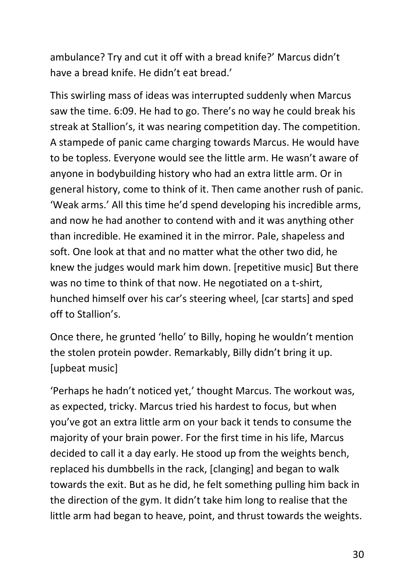ambulance? Try and cut it off with a bread knife?' Marcus didn't have a bread knife. He didn't eat bread.'

This swirling mass of ideas was interrupted suddenly when Marcus saw the time. 6:09. He had to go. There's no way he could break his streak at Stallion's, it was nearing competition day. The competition. A stampede of panic came charging towards Marcus. He would have to be topless. Everyone would see the little arm. He wasn't aware of anyone in bodybuilding history who had an extra little arm. Or in general history, come to think of it. Then came another rush of panic. 'Weak arms.' All this time he'd spend developing his incredible arms, and now he had another to contend with and it was anything other than incredible. He examined it in the mirror. Pale, shapeless and soft. One look at that and no matter what the other two did, he knew the judges would mark him down. [repetitive music] But there was no time to think of that now. He negotiated on a t-shirt, hunched himself over his car's steering wheel, [car starts] and sped off to Stallion's.

Once there, he grunted 'hello' to Billy, hoping he wouldn't mention the stolen protein powder. Remarkably, Billy didn't bring it up. [upbeat music]

'Perhaps he hadn't noticed yet,' thought Marcus. The workout was, as expected, tricky. Marcus tried his hardest to focus, but when you've got an extra little arm on your back it tends to consume the majority of your brain power. For the first time in his life, Marcus decided to call it a day early. He stood up from the weights bench, replaced his dumbbells in the rack, [clanging] and began to walk towards the exit. But as he did, he felt something pulling him back in the direction of the gym. It didn't take him long to realise that the little arm had began to heave, point, and thrust towards the weights.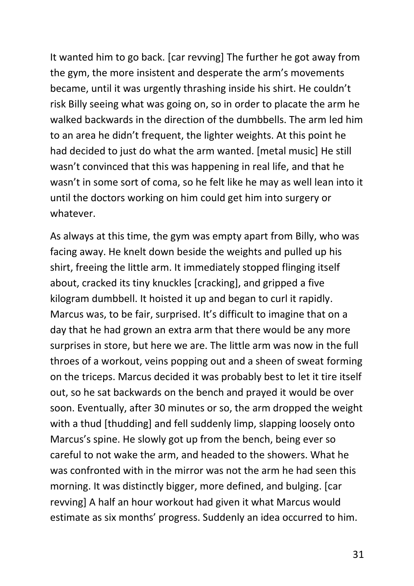It wanted him to go back. [car revving] The further he got away from the gym, the more insistent and desperate the arm's movements became, until it was urgently thrashing inside his shirt. He couldn't risk Billy seeing what was going on, so in order to placate the arm he walked backwards in the direction of the dumbbells. The arm led him to an area he didn't frequent, the lighter weights. At this point he had decided to just do what the arm wanted. [metal music] He still wasn't convinced that this was happening in real life, and that he wasn't in some sort of coma, so he felt like he may as well lean into it until the doctors working on him could get him into surgery or whatever.

As always at this time, the gym was empty apart from Billy, who was facing away. He knelt down beside the weights and pulled up his shirt, freeing the little arm. It immediately stopped flinging itself about, cracked its tiny knuckles [cracking], and gripped a five kilogram dumbbell. It hoisted it up and began to curl it rapidly. Marcus was, to be fair, surprised. It's difficult to imagine that on a day that he had grown an extra arm that there would be any more surprises in store, but here we are. The little arm was now in the full throes of a workout, veins popping out and a sheen of sweat forming on the triceps. Marcus decided it was probably best to let it tire itself out, so he sat backwards on the bench and prayed it would be over soon. Eventually, after 30 minutes or so, the arm dropped the weight with a thud [thudding] and fell suddenly limp, slapping loosely onto Marcus's spine. He slowly got up from the bench, being ever so careful to not wake the arm, and headed to the showers. What he was confronted with in the mirror was not the arm he had seen this morning. It was distinctly bigger, more defined, and bulging. [car revving] A half an hour workout had given it what Marcus would estimate as six months' progress. Suddenly an idea occurred to him.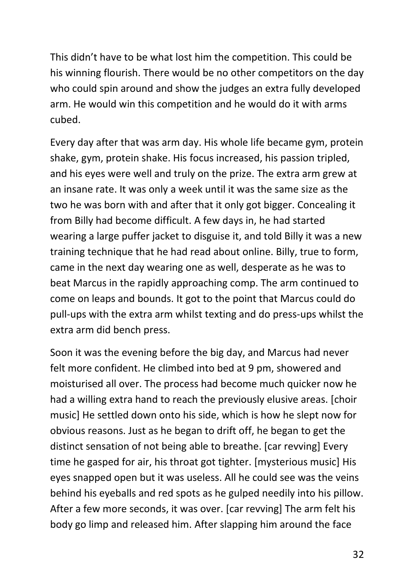This didn't have to be what lost him the competition. This could be his winning flourish. There would be no other competitors on the day who could spin around and show the judges an extra fully developed arm. He would win this competition and he would do it with arms cubed.

Every day after that was arm day. His whole life became gym, protein shake, gym, protein shake. His focus increased, his passion tripled, and his eyes were well and truly on the prize. The extra arm grew at an insane rate. It was only a week until it was the same size as the two he was born with and after that it only got bigger. Concealing it from Billy had become difficult. A few days in, he had started wearing a large puffer jacket to disguise it, and told Billy it was a new training technique that he had read about online. Billy, true to form, came in the next day wearing one as well, desperate as he was to beat Marcus in the rapidly approaching comp. The arm continued to come on leaps and bounds. It got to the point that Marcus could do pull-ups with the extra arm whilst texting and do press-ups whilst the extra arm did bench press.

Soon it was the evening before the big day, and Marcus had never felt more confident. He climbed into bed at 9 pm, showered and moisturised all over. The process had become much quicker now he had a willing extra hand to reach the previously elusive areas. [choir music] He settled down onto his side, which is how he slept now for obvious reasons. Just as he began to drift off, he began to get the distinct sensation of not being able to breathe. [car revving] Every time he gasped for air, his throat got tighter. [mysterious music] His eyes snapped open but it was useless. All he could see was the veins behind his eyeballs and red spots as he gulped needily into his pillow. After a few more seconds, it was over. [car revving] The arm felt his body go limp and released him. After slapping him around the face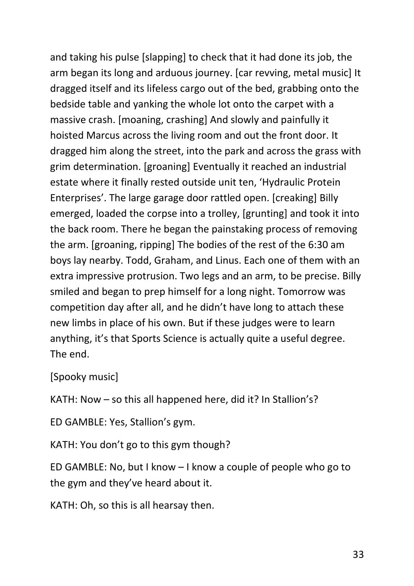and taking his pulse [slapping] to check that it had done its job, the arm began its long and arduous journey. [car revving, metal music] It dragged itself and its lifeless cargo out of the bed, grabbing onto the bedside table and yanking the whole lot onto the carpet with a massive crash. [moaning, crashing] And slowly and painfully it hoisted Marcus across the living room and out the front door. It dragged him along the street, into the park and across the grass with grim determination. [groaning] Eventually it reached an industrial estate where it finally rested outside unit ten, 'Hydraulic Protein Enterprises'. The large garage door rattled open. [creaking] Billy emerged, loaded the corpse into a trolley, [grunting] and took it into the back room. There he began the painstaking process of removing the arm. [groaning, ripping] The bodies of the rest of the 6:30 am boys lay nearby. Todd, Graham, and Linus. Each one of them with an extra impressive protrusion. Two legs and an arm, to be precise. Billy smiled and began to prep himself for a long night. Tomorrow was competition day after all, and he didn't have long to attach these new limbs in place of his own. But if these judges were to learn anything, it's that Sports Science is actually quite a useful degree. The end.

## [Spooky music]

KATH: Now – so this all happened here, did it? In Stallion's?

ED GAMBLE: Yes, Stallion's gym.

KATH: You don't go to this gym though?

ED GAMBLE: No, but I know – I know a couple of people who go to the gym and they've heard about it.

KATH: Oh, so this is all hearsay then.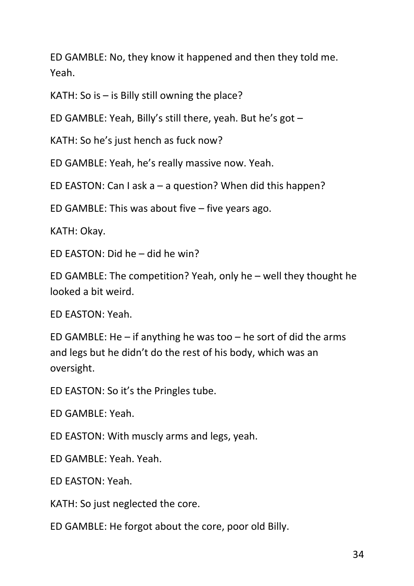ED GAMBLE: No, they know it happened and then they told me. Yeah.

KATH: So is  $-$  is Billy still owning the place?

ED GAMBLE: Yeah, Billy's still there, yeah. But he's got –

KATH: So he's just hench as fuck now?

ED GAMBLE: Yeah, he's really massive now. Yeah.

ED EASTON: Can I ask a – a question? When did this happen?

ED GAMBLE: This was about five – five years ago.

KATH: Okay.

ED EASTON: Did he – did he win?

ED GAMBLE: The competition? Yeah, only he – well they thought he looked a bit weird.

ED EASTON: Yeah.

ED GAMBLE: He  $-$  if anything he was too  $-$  he sort of did the arms and legs but he didn't do the rest of his body, which was an oversight.

ED EASTON: So it's the Pringles tube.

ED GAMBLE: Yeah.

ED EASTON: With muscly arms and legs, yeah.

ED GAMBLE: Yeah. Yeah.

ED EASTON: Yeah.

KATH: So just neglected the core.

ED GAMBLE: He forgot about the core, poor old Billy.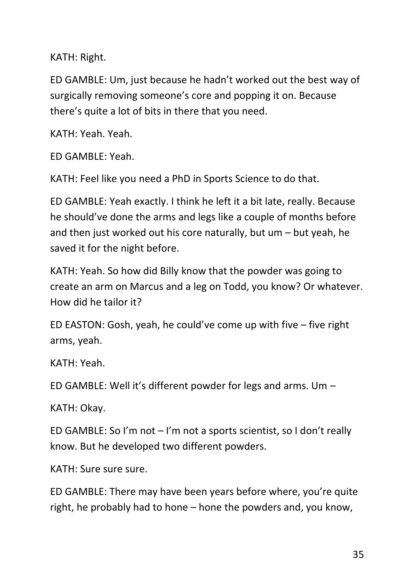KATH: Right.

ED GAMBLE: Um, just because he hadn't worked out the best way of surgically removing someone's core and popping it on. Because there's quite a lot of bits in there that you need.

KATH: Yeah. Yeah.

ED GAMBLE: Yeah.

KATH: Feel like you need a PhD in Sports Science to do that.

ED GAMBLE: Yeah exactly. I think he left it a bit late, really. Because he should've done the arms and legs like a couple of months before and then just worked out his core naturally, but um – but yeah, he saved it for the night before.

KATH: Yeah. So how did Billy know that the powder was going to create an arm on Marcus and a leg on Todd, you know? Or whatever. How did he tailor it?

ED EASTON: Gosh, yeah, he could've come up with five – five right arms, yeah.

KATH: Yeah.

ED GAMBLE: Well it's different powder for legs and arms. Um –

KATH: Okay.

ED GAMBLE: So I'm not – I'm not a sports scientist, so I don't really know. But he developed two different powders.

KATH: Sure sure sure.

ED GAMBLE: There may have been years before where, you're quite right, he probably had to hone – hone the powders and, you know,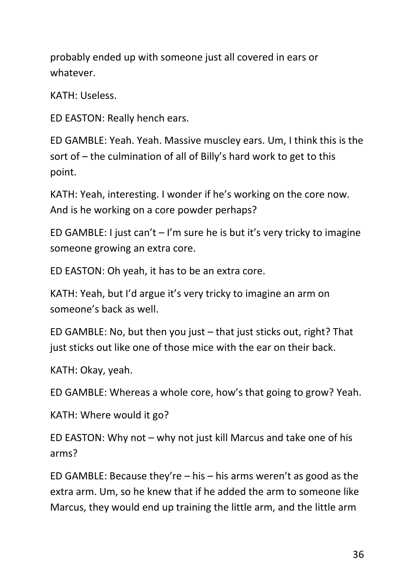probably ended up with someone just all covered in ears or whatever.

KATH: Useless.

ED EASTON: Really hench ears.

ED GAMBLE: Yeah. Yeah. Massive muscley ears. Um, I think this is the sort of – the culmination of all of Billy's hard work to get to this point.

KATH: Yeah, interesting. I wonder if he's working on the core now. And is he working on a core powder perhaps?

ED GAMBLE: I just can't  $-1$ 'm sure he is but it's very tricky to imagine someone growing an extra core.

ED EASTON: Oh yeah, it has to be an extra core.

KATH: Yeah, but I'd argue it's very tricky to imagine an arm on someone's back as well.

ED GAMBLE: No, but then you just – that just sticks out, right? That just sticks out like one of those mice with the ear on their back.

KATH: Okay, yeah.

ED GAMBLE: Whereas a whole core, how's that going to grow? Yeah.

KATH: Where would it go?

ED EASTON: Why not – why not just kill Marcus and take one of his arms?

ED GAMBLE: Because they're  $-$  his  $-$  his arms weren't as good as the extra arm. Um, so he knew that if he added the arm to someone like Marcus, they would end up training the little arm, and the little arm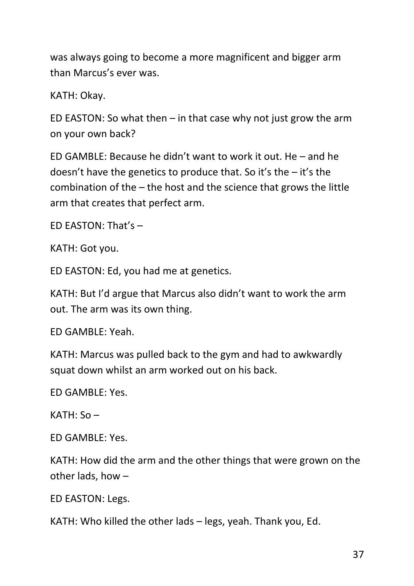was always going to become a more magnificent and bigger arm than Marcus's ever was.

KATH: Okay.

ED EASTON: So what then  $-$  in that case why not just grow the arm on your own back?

ED GAMBLE: Because he didn't want to work it out. He – and he doesn't have the genetics to produce that. So it's the – it's the combination of the – the host and the science that grows the little arm that creates that perfect arm.

ED EASTON: That's –

KATH: Got you.

ED EASTON: Ed, you had me at genetics.

KATH: But I'd argue that Marcus also didn't want to work the arm out. The arm was its own thing.

ED GAMBLE: Yeah.

KATH: Marcus was pulled back to the gym and had to awkwardly squat down whilst an arm worked out on his back.

ED GAMBLE: Yes.

KATH: So –

ED GAMBLE: Yes.

KATH: How did the arm and the other things that were grown on the other lads, how –

ED EASTON: Legs.

KATH: Who killed the other lads – legs, yeah. Thank you, Ed.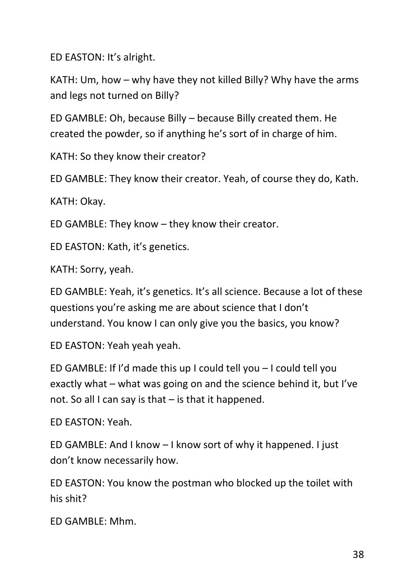ED EASTON: It's alright.

KATH: Um, how – why have they not killed Billy? Why have the arms and legs not turned on Billy?

ED GAMBLE: Oh, because Billy – because Billy created them. He created the powder, so if anything he's sort of in charge of him.

KATH: So they know their creator?

ED GAMBLE: They know their creator. Yeah, of course they do, Kath.

KATH: Okay.

ED GAMBLE: They know – they know their creator.

ED EASTON: Kath, it's genetics.

KATH: Sorry, yeah.

ED GAMBLE: Yeah, it's genetics. It's all science. Because a lot of these questions you're asking me are about science that I don't understand. You know I can only give you the basics, you know?

ED EASTON: Yeah yeah yeah.

ED GAMBLE: If I'd made this up I could tell you – I could tell you exactly what – what was going on and the science behind it, but I've not. So all I can say is that – is that it happened.

ED EASTON: Yeah.

ED GAMBLE: And I know – I know sort of why it happened. I just don't know necessarily how.

ED EASTON: You know the postman who blocked up the toilet with his shit?

ED GAMBLE: Mhm.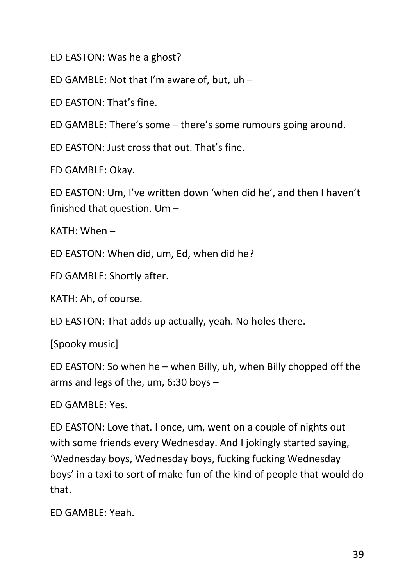ED EASTON: Was he a ghost?

ED GAMBLE: Not that I'm aware of, but, uh –

ED EASTON: That's fine.

ED GAMBLE: There's some – there's some rumours going around.

ED EASTON: Just cross that out. That's fine.

ED GAMBLE: Okay.

ED EASTON: Um, I've written down 'when did he', and then I haven't finished that question. Um –

KATH: When –

ED EASTON: When did, um, Ed, when did he?

ED GAMBLE: Shortly after.

KATH: Ah, of course.

ED EASTON: That adds up actually, yeah. No holes there.

[Spooky music]

ED EASTON: So when he – when Billy, uh, when Billy chopped off the arms and legs of the, um, 6:30 boys –

ED GAMBLE: Yes.

ED EASTON: Love that. I once, um, went on a couple of nights out with some friends every Wednesday. And I jokingly started saying, 'Wednesday boys, Wednesday boys, fucking fucking Wednesday boys' in a taxi to sort of make fun of the kind of people that would do that.

ED GAMBLE: Yeah.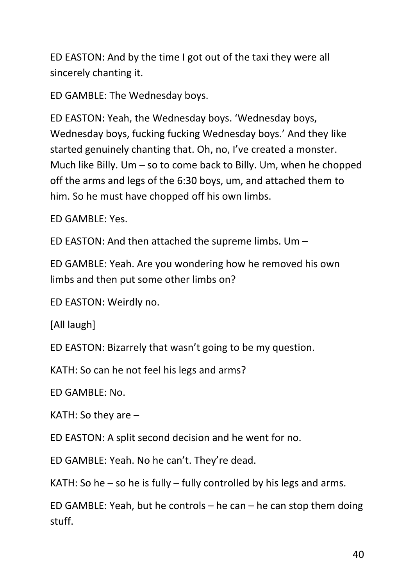ED EASTON: And by the time I got out of the taxi they were all sincerely chanting it.

ED GAMBLE: The Wednesday boys.

ED EASTON: Yeah, the Wednesday boys. 'Wednesday boys, Wednesday boys, fucking fucking Wednesday boys.' And they like started genuinely chanting that. Oh, no, I've created a monster. Much like Billy. Um – so to come back to Billy. Um, when he chopped off the arms and legs of the 6:30 boys, um, and attached them to him. So he must have chopped off his own limbs.

ED GAMBLE: Yes.

ED EASTON: And then attached the supreme limbs. Um –

ED GAMBLE: Yeah. Are you wondering how he removed his own limbs and then put some other limbs on?

ED EASTON: Weirdly no.

[All laugh]

ED EASTON: Bizarrely that wasn't going to be my question.

KATH: So can he not feel his legs and arms?

ED GAMBLE: No.

KATH: So they are –

ED EASTON: A split second decision and he went for no.

ED GAMBLE: Yeah. No he can't. They're dead.

KATH: So he – so he is fully – fully controlled by his legs and arms.

ED GAMBLE: Yeah, but he controls – he can – he can stop them doing stuff.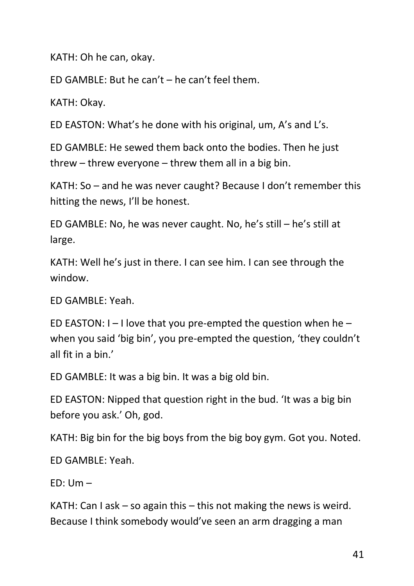KATH: Oh he can, okay.

ED GAMBLE: But he can't – he can't feel them.

KATH: Okay.

ED EASTON: What's he done with his original, um, A's and L's.

ED GAMBLE: He sewed them back onto the bodies. Then he just threw – threw everyone – threw them all in a big bin.

KATH: So – and he was never caught? Because I don't remember this hitting the news, I'll be honest.

ED GAMBLE: No, he was never caught. No, he's still – he's still at large.

KATH: Well he's just in there. I can see him. I can see through the window.

ED GAMBLE: Yeah.

ED EASTON:  $I - I$  love that you pre-empted the question when he  $$ when you said 'big bin', you pre-empted the question, 'they couldn't all fit in a bin.'

ED GAMBLE: It was a big bin. It was a big old bin.

ED EASTON: Nipped that question right in the bud. 'It was a big bin before you ask.' Oh, god.

KATH: Big bin for the big boys from the big boy gym. Got you. Noted.

ED GAMBLE: Yeah.

 $FD: Um -$ 

KATH: Can I ask  $-$  so again this  $-$  this not making the news is weird. Because I think somebody would've seen an arm dragging a man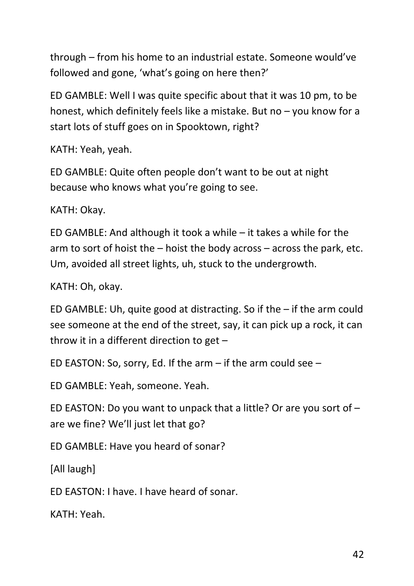through – from his home to an industrial estate. Someone would've followed and gone, 'what's going on here then?'

ED GAMBLE: Well I was quite specific about that it was 10 pm, to be honest, which definitely feels like a mistake. But no – you know for a start lots of stuff goes on in Spooktown, right?

KATH: Yeah, yeah.

ED GAMBLE: Quite often people don't want to be out at night because who knows what you're going to see.

KATH: Okay.

ED GAMBLE: And although it took a while – it takes a while for the arm to sort of hoist the – hoist the body across – across the park, etc. Um, avoided all street lights, uh, stuck to the undergrowth.

KATH: Oh, okay.

ED GAMBLE: Uh, quite good at distracting. So if the – if the arm could see someone at the end of the street, say, it can pick up a rock, it can throw it in a different direction to get –

ED EASTON: So, sorry, Ed. If the arm – if the arm could see –

ED GAMBLE: Yeah, someone. Yeah.

ED EASTON: Do you want to unpack that a little? Or are you sort of – are we fine? We'll just let that go?

ED GAMBLE: Have you heard of sonar?

[All laugh]

ED EASTON: I have. I have heard of sonar.

KATH: Yeah.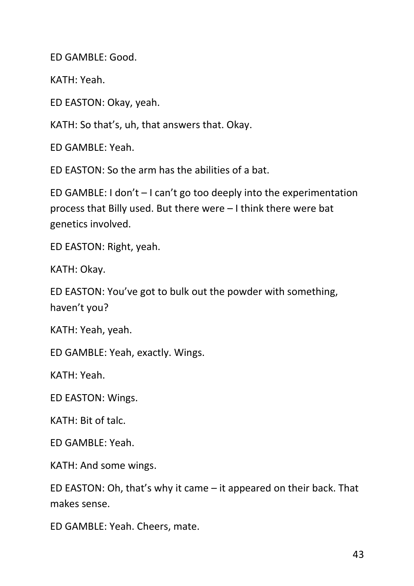ED GAMBLE: Good.

KATH: Yeah.

ED EASTON: Okay, yeah.

KATH: So that's, uh, that answers that. Okay.

ED GAMBLE: Yeah.

ED EASTON: So the arm has the abilities of a bat.

ED GAMBLE: I don't – I can't go too deeply into the experimentation process that Billy used. But there were – I think there were bat genetics involved.

ED EASTON: Right, yeah.

KATH: Okay.

ED EASTON: You've got to bulk out the powder with something, haven't you?

KATH: Yeah, yeah.

ED GAMBLE: Yeah, exactly. Wings.

KATH: Yeah.

ED EASTON: Wings.

KATH: Bit of talc.

ED GAMBLE: Yeah.

KATH: And some wings.

ED EASTON: Oh, that's why it came – it appeared on their back. That makes sense.

ED GAMBLE: Yeah. Cheers, mate.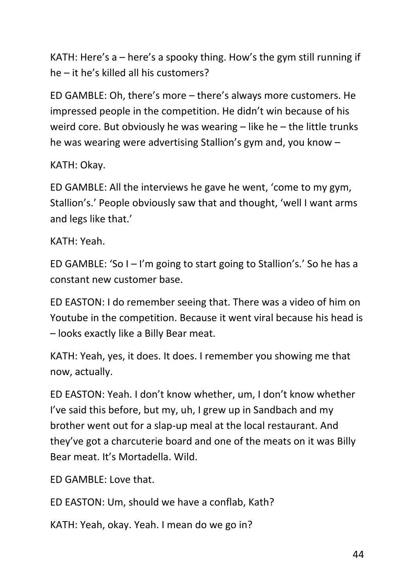KATH: Here's a – here's a spooky thing. How's the gym still running if he – it he's killed all his customers?

ED GAMBLE: Oh, there's more – there's always more customers. He impressed people in the competition. He didn't win because of his weird core. But obviously he was wearing – like he – the little trunks he was wearing were advertising Stallion's gym and, you know –

## KATH: Okay.

ED GAMBLE: All the interviews he gave he went, 'come to my gym, Stallion's.' People obviously saw that and thought, 'well I want arms and legs like that.'

## KATH: Yeah.

ED GAMBLE: 'So I – I'm going to start going to Stallion's.' So he has a constant new customer base.

ED EASTON: I do remember seeing that. There was a video of him on Youtube in the competition. Because it went viral because his head is – looks exactly like a Billy Bear meat.

KATH: Yeah, yes, it does. It does. I remember you showing me that now, actually.

ED EASTON: Yeah. I don't know whether, um, I don't know whether I've said this before, but my, uh, I grew up in Sandbach and my brother went out for a slap-up meal at the local restaurant. And they've got a charcuterie board and one of the meats on it was Billy Bear meat. It's Mortadella. Wild.

ED GAMBLE: Love that.

ED EASTON: Um, should we have a conflab, Kath?

KATH: Yeah, okay. Yeah. I mean do we go in?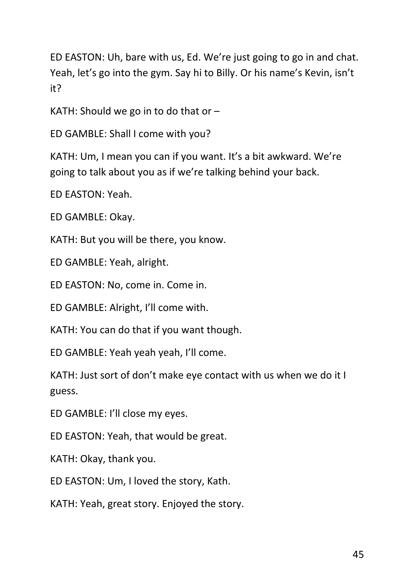ED EASTON: Uh, bare with us, Ed. We're just going to go in and chat. Yeah, let's go into the gym. Say hi to Billy. Or his name's Kevin, isn't it?

KATH: Should we go in to do that or  $-$ 

ED GAMBLE: Shall I come with you?

KATH: Um, I mean you can if you want. It's a bit awkward. We're going to talk about you as if we're talking behind your back.

ED EASTON: Yeah.

ED GAMBLE: Okay.

KATH: But you will be there, you know.

ED GAMBLE: Yeah, alright.

ED EASTON: No, come in. Come in.

ED GAMBLE: Alright, I'll come with.

KATH: You can do that if you want though.

ED GAMBLE: Yeah yeah yeah, I'll come.

KATH: Just sort of don't make eye contact with us when we do it I guess.

ED GAMBLE: I'll close my eyes.

ED EASTON: Yeah, that would be great.

KATH: Okay, thank you.

ED EASTON: Um, I loved the story, Kath.

KATH: Yeah, great story. Enjoyed the story.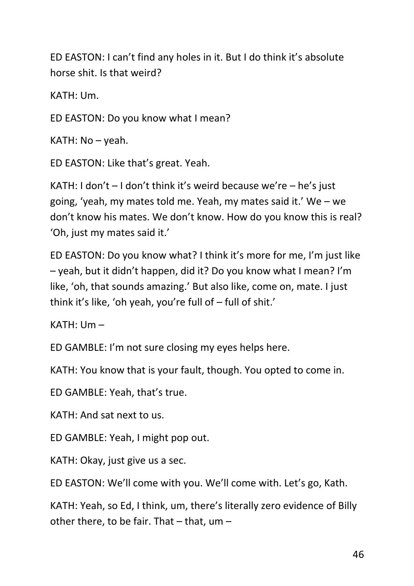ED EASTON: I can't find any holes in it. But I do think it's absolute horse shit. Is that weird?

KATH: Um.

ED EASTON: Do you know what I mean?

KATH: No – yeah.

ED EASTON: Like that's great. Yeah.

KATH: I don't  $-$  I don't think it's weird because we're  $-$  he's just going, 'yeah, my mates told me. Yeah, my mates said it.' We – we don't know his mates. We don't know. How do you know this is real? 'Oh, just my mates said it.'

ED EASTON: Do you know what? I think it's more for me, I'm just like – yeah, but it didn't happen, did it? Do you know what I mean? I'm like, 'oh, that sounds amazing.' But also like, come on, mate. I just think it's like, 'oh yeah, you're full of – full of shit.'

KATH: Um –

ED GAMBLE: I'm not sure closing my eyes helps here.

KATH: You know that is your fault, though. You opted to come in.

ED GAMBLE: Yeah, that's true.

KATH: And sat next to us.

ED GAMBLE: Yeah, I might pop out.

KATH: Okay, just give us a sec.

ED EASTON: We'll come with you. We'll come with. Let's go, Kath.

KATH: Yeah, so Ed, I think, um, there's literally zero evidence of Billy other there, to be fair. That  $-$  that, um  $-$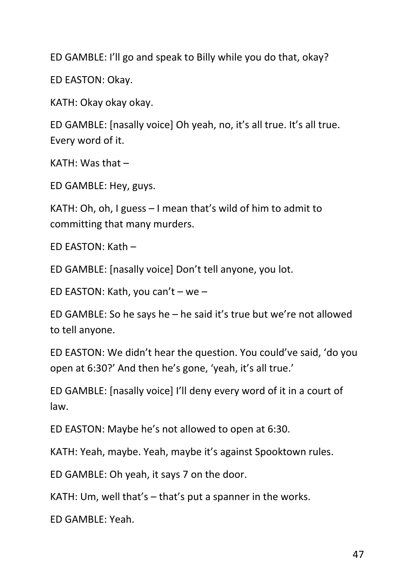ED GAMBLE: I'll go and speak to Billy while you do that, okay?

ED EASTON: Okay.

KATH: Okay okay okay.

ED GAMBLE: [nasally voice] Oh yeah, no, it's all true. It's all true. Every word of it.

KATH: Was that –

ED GAMBLE: Hey, guys.

KATH: Oh, oh, I guess – I mean that's wild of him to admit to committing that many murders.

ED EASTON: Kath –

ED GAMBLE: [nasally voice] Don't tell anyone, you lot.

ED EASTON: Kath, you can't – we –

ED GAMBLE: So he says he – he said it's true but we're not allowed to tell anyone.

ED EASTON: We didn't hear the question. You could've said, 'do you open at 6:30?' And then he's gone, 'yeah, it's all true.'

ED GAMBLE: [nasally voice] I'll deny every word of it in a court of law.

ED EASTON: Maybe he's not allowed to open at 6:30.

KATH: Yeah, maybe. Yeah, maybe it's against Spooktown rules.

ED GAMBLE: Oh yeah, it says 7 on the door.

KATH: Um, well that's – that's put a spanner in the works.

ED GAMBLE: Yeah.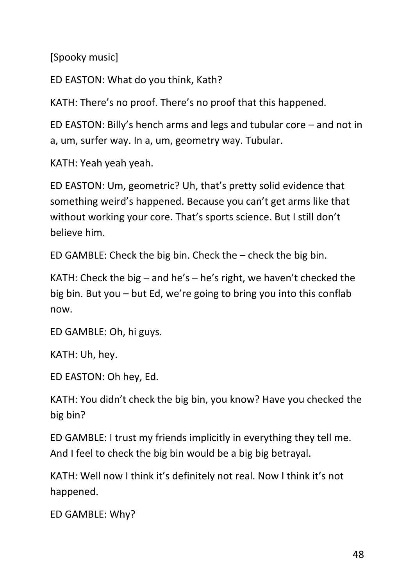[Spooky music]

ED EASTON: What do you think, Kath?

KATH: There's no proof. There's no proof that this happened.

ED EASTON: Billy's hench arms and legs and tubular core – and not in a, um, surfer way. In a, um, geometry way. Tubular.

KATH: Yeah yeah yeah.

ED EASTON: Um, geometric? Uh, that's pretty solid evidence that something weird's happened. Because you can't get arms like that without working your core. That's sports science. But I still don't believe him.

ED GAMBLE: Check the big bin. Check the – check the big bin.

KATH: Check the big – and he's – he's right, we haven't checked the big bin. But you – but Ed, we're going to bring you into this conflab now.

ED GAMBLE: Oh, hi guys.

KATH: Uh, hey.

ED EASTON: Oh hey, Ed.

KATH: You didn't check the big bin, you know? Have you checked the big bin?

ED GAMBLE: I trust my friends implicitly in everything they tell me. And I feel to check the big bin would be a big big betrayal.

KATH: Well now I think it's definitely not real. Now I think it's not happened.

ED GAMBLE: Why?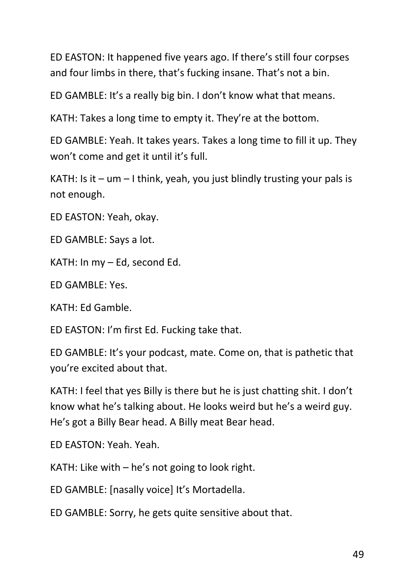ED EASTON: It happened five years ago. If there's still four corpses and four limbs in there, that's fucking insane. That's not a bin.

ED GAMBLE: It's a really big bin. I don't know what that means.

KATH: Takes a long time to empty it. They're at the bottom.

ED GAMBLE: Yeah. It takes years. Takes a long time to fill it up. They won't come and get it until it's full.

KATH: Is it  $-$  um  $-$  I think, yeah, you just blindly trusting your pals is not enough.

ED EASTON: Yeah, okay.

ED GAMBLE: Says a lot.

KATH: In my – Ed, second Ed.

ED GAMBLE: Yes.

KATH: Ed Gamble.

ED EASTON: I'm first Ed. Fucking take that.

ED GAMBLE: It's your podcast, mate. Come on, that is pathetic that you're excited about that.

KATH: I feel that yes Billy is there but he is just chatting shit. I don't know what he's talking about. He looks weird but he's a weird guy. He's got a Billy Bear head. A Billy meat Bear head.

ED EASTON: Yeah. Yeah.

KATH: Like with – he's not going to look right.

ED GAMBLE: [nasally voice] It's Mortadella.

ED GAMBLE: Sorry, he gets quite sensitive about that.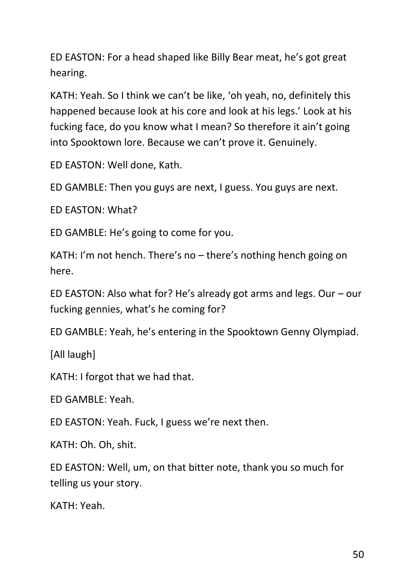ED EASTON: For a head shaped like Billy Bear meat, he's got great hearing.

KATH: Yeah. So I think we can't be like, 'oh yeah, no, definitely this happened because look at his core and look at his legs.' Look at his fucking face, do you know what I mean? So therefore it ain't going into Spooktown lore. Because we can't prove it. Genuinely.

ED EASTON: Well done, Kath.

ED GAMBLE: Then you guys are next, I guess. You guys are next.

ED EASTON: What?

ED GAMBLE: He's going to come for you.

KATH: I'm not hench. There's no – there's nothing hench going on here.

ED EASTON: Also what for? He's already got arms and legs. Our – our fucking gennies, what's he coming for?

ED GAMBLE: Yeah, he's entering in the Spooktown Genny Olympiad.

[All laugh]

KATH: I forgot that we had that.

ED GAMBLE: Yeah.

ED EASTON: Yeah. Fuck, I guess we're next then.

KATH: Oh. Oh, shit.

ED EASTON: Well, um, on that bitter note, thank you so much for telling us your story.

KATH: Yeah.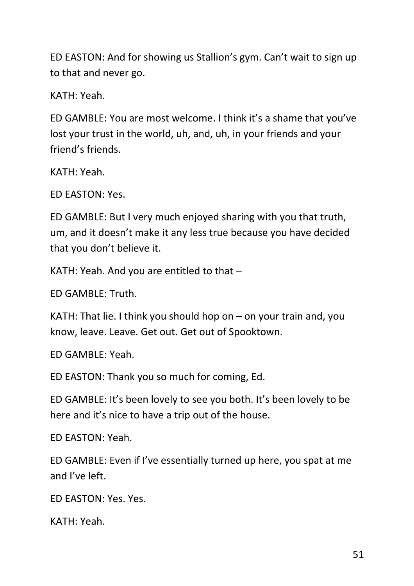ED EASTON: And for showing us Stallion's gym. Can't wait to sign up to that and never go.

KATH: Yeah.

ED GAMBLE: You are most welcome. I think it's a shame that you've lost your trust in the world, uh, and, uh, in your friends and your friend's friends.

KATH: Yeah.

ED EASTON: Yes.

ED GAMBLE: But I very much enjoyed sharing with you that truth, um, and it doesn't make it any less true because you have decided that you don't believe it.

KATH: Yeah. And you are entitled to that –

ED GAMBLE: Truth.

KATH: That lie. I think you should hop on – on your train and, you know, leave. Leave. Get out. Get out of Spooktown.

ED GAMBLE: Yeah.

ED EASTON: Thank you so much for coming, Ed.

ED GAMBLE: It's been lovely to see you both. It's been lovely to be here and it's nice to have a trip out of the house.

ED EASTON: Yeah.

ED GAMBLE: Even if I've essentially turned up here, you spat at me and I've left.

ED EASTON: Yes. Yes.

KATH: Yeah.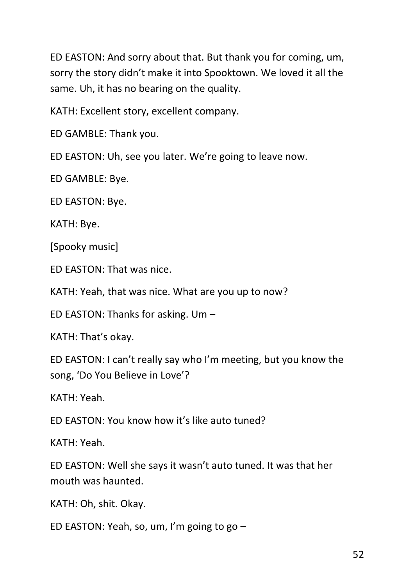ED EASTON: And sorry about that. But thank you for coming, um, sorry the story didn't make it into Spooktown. We loved it all the same. Uh, it has no bearing on the quality.

KATH: Excellent story, excellent company.

ED GAMBLE: Thank you.

ED EASTON: Uh, see you later. We're going to leave now.

ED GAMBLE: Bye.

ED EASTON: Bye.

KATH: Bye.

[Spooky music]

ED EASTON: That was nice.

KATH: Yeah, that was nice. What are you up to now?

ED EASTON: Thanks for asking. Um –

KATH: That's okay.

ED EASTON: I can't really say who I'm meeting, but you know the song, 'Do You Believe in Love'?

KATH: Yeah.

ED EASTON: You know how it's like auto tuned?

KATH: Yeah.

ED EASTON: Well she says it wasn't auto tuned. It was that her mouth was haunted.

KATH: Oh, shit. Okay.

ED EASTON: Yeah, so, um, I'm going to go –